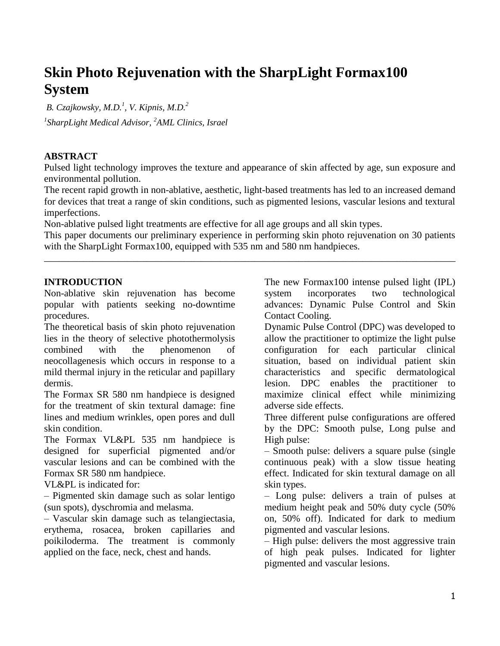# **Skin Photo Rejuvenation with the SharpLight Formax100 System**

*B. Czajkowsky, M.D.<sup>1</sup> , V. Kipnis, M.D.<sup>2</sup> 1 SharpLight Medical Advisor, <sup>2</sup>AML Clinics, Israel*

## **ABSTRACT**

Pulsed light technology improves the texture and appearance of skin affected by age, sun exposure and environmental pollution.

The recent rapid growth in non-ablative, aesthetic, light-based treatments has led to an increased demand for devices that treat a range of skin conditions, such as pigmented lesions, vascular lesions and textural imperfections.

Non-ablative pulsed light treatments are effective for all age groups and all skin types.

This paper documents our preliminary experience in performing skin photo rejuvenation on 30 patients with the SharpLight Formax100, equipped with 535 nm and 580 nm handpieces.

\_\_\_\_\_\_\_\_\_\_\_\_\_\_\_\_\_\_\_\_\_\_\_\_\_\_\_\_\_\_\_\_\_\_\_\_\_\_\_\_\_\_\_\_\_\_\_\_\_\_\_\_\_\_\_\_\_\_\_\_\_\_\_\_\_\_\_\_\_\_\_\_\_\_\_\_\_\_\_\_\_\_\_\_

#### **INTRODUCTION**

Non-ablative skin rejuvenation has become popular with patients seeking no-downtime procedures.

The theoretical basis of skin photo rejuvenation lies in the theory of selective photothermolysis combined with the phenomenon of neocollagenesis which occurs in response to a mild thermal injury in the reticular and papillary dermis.

The Formax SR 580 nm handpiece is designed for the treatment of skin textural damage: fine lines and medium wrinkles, open pores and dull skin condition.

The Formax VL&PL 535 nm handpiece is designed for superficial pigmented and/or vascular lesions and can be combined with the Formax SR 580 nm handpiece.

VL&PL is indicated for:

– Pigmented skin damage such as solar lentigo (sun spots), dyschromia and melasma.

– Vascular skin damage such as telangiectasia, erythema, rosacea, broken capillaries and poikiloderma. The treatment is commonly applied on the face, neck, chest and hands.

The new Formax100 intense pulsed light (IPL) system incorporates two technological advances: Dynamic Pulse Control and Skin Contact Cooling.

Dynamic Pulse Control (DPC) was developed to allow the practitioner to optimize the light pulse configuration for each particular clinical situation, based on individual patient skin characteristics and specific dermatological lesion. DPC enables the practitioner to maximize clinical effect while minimizing adverse side effects.

Three different pulse configurations are offered by the DPC: Smooth pulse, Long pulse and High pulse:

– Smooth pulse: delivers a square pulse (single continuous peak) with a slow tissue heating effect. Indicated for skin textural damage on all skin types.

– Long pulse: delivers a train of pulses at medium height peak and 50% duty cycle (50% on, 50% off). Indicated for dark to medium pigmented and vascular lesions.

– High pulse: delivers the most aggressive train of high peak pulses. Indicated for lighter pigmented and vascular lesions.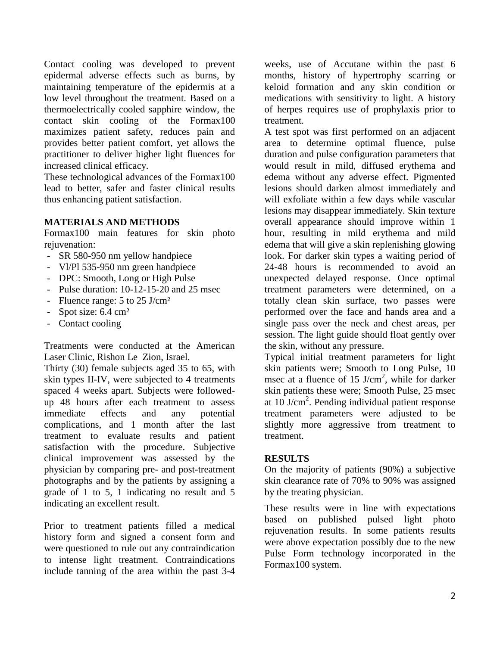Contact cooling was developed to prevent epidermal adverse effects such as burns, by maintaining temperature of the epidermis at a low level throughout the treatment. Based on a thermoelectrically cooled sapphire window, the contact skin cooling of the Formax100 maximizes patient safety, reduces pain and provides better patient comfort, yet allows the practitioner to deliver higher light fluences for increased clinical efficacy.

These technological advances of the Formax100 lead to better, safer and faster clinical results thus enhancing patient satisfaction.

#### **MATERIALS AND METHODS**

Formax100 main features for skin photo rejuvenation:

- SR 580-950 nm yellow handpiece
- Vl/Pl 535-950 nm green handpiece
- DPC: Smooth, Long or High Pulse
- Pulse duration: 10-12-15-20 and 25 msec
- Fluence range: 5 to 25 J/cm<sup>2</sup>
- Spot size: 6.4 cm²
- Contact cooling

Treatments were conducted at the American Laser Clinic, Rishon Le Zion, Israel.

Thirty (30) female subjects aged 35 to 65, with skin types II-IV, were subjected to 4 treatments spaced 4 weeks apart. Subjects were followedup 48 hours after each treatment to assess immediate effects and any potential complications, and 1 month after the last treatment to evaluate results and patient satisfaction with the procedure. Subjective clinical improvement was assessed by the physician by comparing pre- and post-treatment photographs and by the patients by assigning a grade of 1 to 5, 1 indicating no result and 5 indicating an excellent result.

Prior to treatment patients filled a medical history form and signed a consent form and were questioned to rule out any contraindication to intense light treatment. Contraindications include tanning of the area within the past 3-4

weeks, use of Accutane within the past 6 months, history of hypertrophy scarring or keloid formation and any skin condition or medications with sensitivity to light. A history of herpes requires use of prophylaxis prior to treatment.

A test spot was first performed on an adjacent area to determine optimal fluence, pulse duration and pulse configuration parameters that would result in mild, diffused erythema and edema without any adverse effect. Pigmented lesions should darken almost immediately and will exfoliate within a few days while vascular lesions may disappear immediately. Skin texture overall appearance should improve within 1 hour, resulting in mild erythema and mild edema that will give a skin replenishing glowing look. For darker skin types a waiting period of 24-48 hours is recommended to avoid an unexpected delayed response. Once optimal treatment parameters were determined, on a totally clean skin surface, two passes were performed over the face and hands area and a single pass over the neck and chest areas, per session. The light guide should float gently over the skin, without any pressure.

Typical initial treatment parameters for light skin patients were; Smooth to Long Pulse, 10 msec at a fluence of 15 J/cm<sup>2</sup>, while for darker skin patients these were; Smooth Pulse, 25 msec at  $10$  J/cm<sup>2</sup>. Pending individual patient response treatment parameters were adjusted to be slightly more aggressive from treatment to treatment.

## **RESULTS**

On the majority of patients (90%) a subjective skin clearance rate of 70% to 90% was assigned by the treating physician.

These results were in line with expectations based on published pulsed light photo rejuvenation results. In some patients results were above expectation possibly due to the new Pulse Form technology incorporated in the Formax100 system.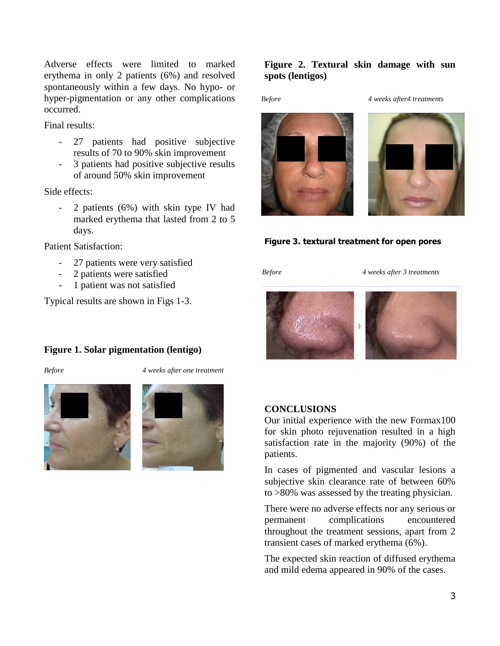Adverse effects were limited to marked erythema in only 2 patients (6%) and resolved spontaneously within a few days. No hypo- or hyper-pigmentation or any other complications occurred.

Final results:

- 27 patients had positive subjective results of 70 to 90% skin improvement
- 3 patients had positive subjective results of around 50% skin improvement

Side effects:

- 2 patients (6%) with skin type IV had marked erythema that lasted from 2 to 5 days.

Patient Satisfaction:

- 27 patients were very satisfied
- 2 patients were satisfied
- 1 patient was not satisfied

Typical results are shown in Figs 1-3.

#### **Figure 1. Solar pigmentation (lentigo)**

*Before 4 weeks after one treatment*





## **Figure 2. Textural skin damage with sun spots (lentigos)**

*Before 4 weeks after4 treatments*



#### **Figure 3. textural treatment for open pores**

*Before 4 weeks after 3 treatments*



#### **CONCLUSIONS**

Our initial experience with the new Formax100 for skin photo rejuvenation resulted in a high satisfaction rate in the majority (90%) of the patients.

In cases of pigmented and vascular lesions a subjective skin clearance rate of between 60% to >80% was assessed by the treating physician.

There were no adverse effects nor any serious or permanent complications encountered throughout the treatment sessions, apart from 2 transient cases of marked erythema (6%).

The expected skin reaction of diffused erythema and mild edema appeared in 90% of the cases.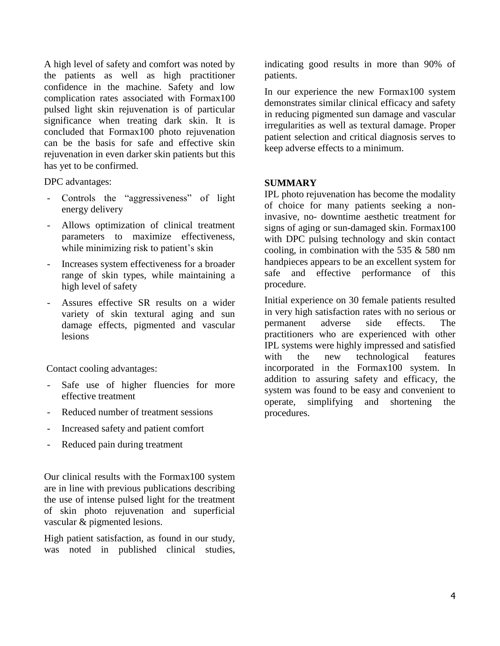A high level of safety and comfort was noted by the patients as well as high practitioner confidence in the machine. Safety and low complication rates associated with Formax100 pulsed light skin rejuvenation is of particular significance when treating dark skin. It is concluded that Formax100 photo rejuvenation can be the basis for safe and effective skin rejuvenation in even darker skin patients but this has yet to be confirmed.

DPC advantages:

- Controls the "aggressiveness" of light energy delivery
- Allows optimization of clinical treatment parameters to maximize effectiveness, while minimizing risk to patient's skin
- Increases system effectiveness for a broader range of skin types, while maintaining a high level of safety
- Assures effective SR results on a wider variety of skin textural aging and sun damage effects, pigmented and vascular lesions

Contact cooling advantages:

- Safe use of higher fluencies for more effective treatment
- Reduced number of treatment sessions
- Increased safety and patient comfort
- Reduced pain during treatment

Our clinical results with the Formax100 system are in line with previous publications describing the use of intense pulsed light for the treatment of skin photo rejuvenation and superficial vascular & pigmented lesions.

High patient satisfaction, as found in our study, was noted in published clinical studies, indicating good results in more than 90% of patients.

In our experience the new Formax100 system demonstrates similar clinical efficacy and safety in reducing pigmented sun damage and vascular irregularities as well as textural damage. Proper patient selection and critical diagnosis serves to keep adverse effects to a minimum.

#### **SUMMARY**

IPL photo rejuvenation has become the modality of choice for many patients seeking a noninvasive, no- downtime aesthetic treatment for signs of aging or sun-damaged skin. Formax100 with DPC pulsing technology and skin contact cooling, in combination with the 535 & 580 nm handpieces appears to be an excellent system for safe and effective performance of this procedure.

Initial experience on 30 female patients resulted in very high satisfaction rates with no serious or permanent adverse side effects. The practitioners who are experienced with other IPL systems were highly impressed and satisfied with the new technological features incorporated in the Formax100 system. In addition to assuring safety and efficacy, the system was found to be easy and convenient to operate, simplifying and shortening the procedures.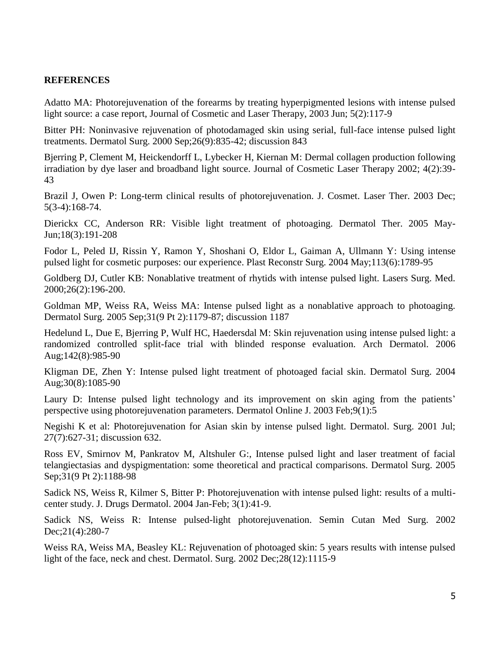#### **REFERENCES**

Adatto MA: Photorejuvenation of the forearms by treating hyperpigmented lesions with intense pulsed light source: a case report, Journal of Cosmetic and Laser Therapy, 2003 Jun; 5(2):117-9

Bitter PH: Noninvasive rejuvenation of photodamaged skin using serial, full-face intense pulsed light treatments. Dermatol Surg. 2000 Sep;26(9):835-42; discussion 843

Bjerring P, Clement M, Heickendorff L, Lybecker H, Kiernan M: Dermal collagen production following irradiation by dye laser and broadband light source. Journal of Cosmetic Laser Therapy 2002; 4(2):39- 43

Brazil J, Owen P: Long-term clinical results of photorejuvenation. J. Cosmet. Laser Ther. 2003 Dec; 5(3-4):168-74.

Dierickx CC, Anderson RR: Visible light treatment of photoaging. Dermatol Ther. 2005 May-Jun;18(3):191-208

Fodor L, Peled IJ, Rissin Y, Ramon Y, Shoshani O, Eldor L, Gaiman A, Ullmann Y: Using intense pulsed light for cosmetic purposes: our experience. Plast Reconstr Surg. 2004 May;113(6):1789-95

Goldberg DJ, Cutler KB: Nonablative treatment of rhytids with intense pulsed light. Lasers Surg. Med. 2000;26(2):196-200.

Goldman MP, Weiss RA, Weiss MA: Intense pulsed light as a nonablative approach to photoaging. Dermatol Surg. 2005 Sep;31(9 Pt 2):1179-87; discussion 1187

Hedelund L, Due E, Bjerring P, Wulf HC, Haedersdal M: Skin rejuvenation using intense pulsed light: a randomized controlled split-face trial with blinded response evaluation. Arch Dermatol. 2006 Aug;142(8):985-90

Kligman DE, Zhen Y: Intense pulsed light treatment of photoaged facial skin. Dermatol Surg. 2004 Aug;30(8):1085-90

Laury D: Intense pulsed light technology and its improvement on skin aging from the patients' perspective using photorejuvenation parameters. Dermatol Online J. 2003 Feb;9(1):5

Negishi K et al: Photorejuvenation for Asian skin by intense pulsed light. Dermatol. Surg. 2001 Jul; 27(7):627-31; discussion 632.

Ross EV, Smirnov M, Pankratov M, Altshuler G:, Intense pulsed light and laser treatment of facial telangiectasias and dyspigmentation: some theoretical and practical comparisons. Dermatol Surg. 2005 Sep;31(9 Pt 2):1188-98

Sadick NS, Weiss R, Kilmer S, Bitter P: Photorejuvenation with intense pulsed light: results of a multicenter study. J. Drugs Dermatol. 2004 Jan-Feb; 3(1):41-9.

Sadick NS, Weiss R: Intense pulsed-light photorejuvenation. Semin Cutan Med Surg. 2002 Dec;21(4):280-7

Weiss RA, Weiss MA, Beasley KL: Rejuvenation of photoaged skin: 5 years results with intense pulsed light of the face, neck and chest. Dermatol. Surg. 2002 Dec;28(12):1115-9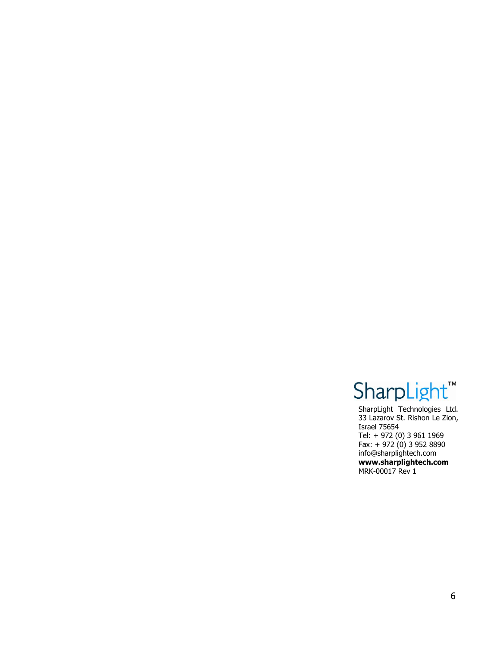# SharpLight<sup>"</sup>

SharpLight Technologies Ltd. 33 Lazarov St. Rishon Le Zion, Israel 75654 Tel: + 972 (0) 3 961 1969 Fax: + 972 (0) 3 952 8890 [info@sharplightech.com](mailto:info@sharplightech.com) **[www.sharplightech.com](http://www.sharplightech.com/)** MRK-00017 Rev 1